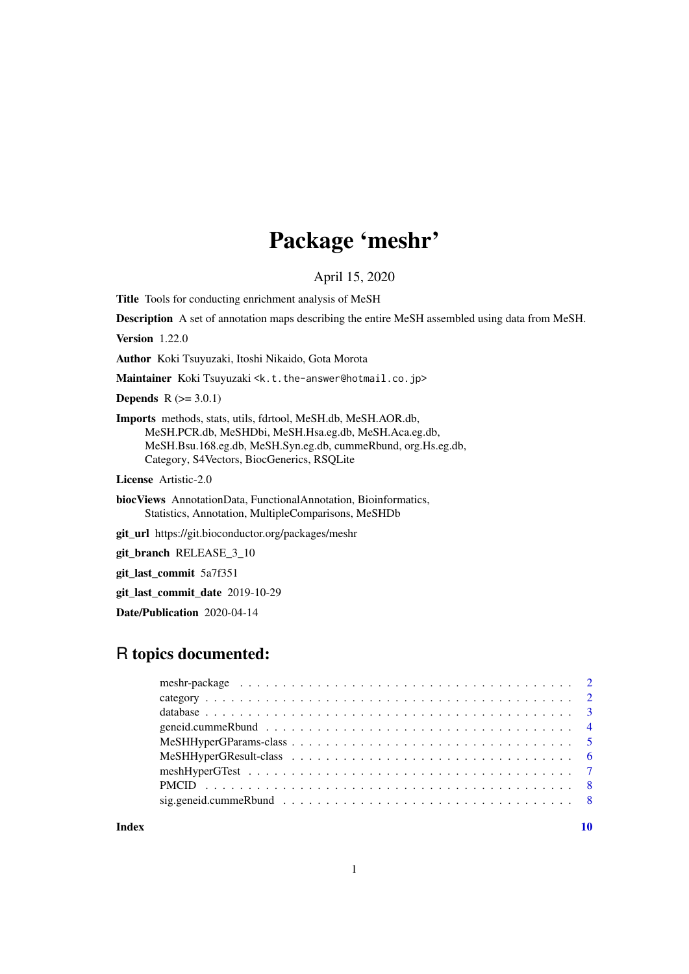# Package 'meshr'

April 15, 2020

Title Tools for conducting enrichment analysis of MeSH

Description A set of annotation maps describing the entire MeSH assembled using data from MeSH.

Version 1.22.0

Author Koki Tsuyuzaki, Itoshi Nikaido, Gota Morota

Maintainer Koki Tsuyuzaki <k.t.the-answer@hotmail.co.jp>

**Depends**  $R$  ( $> = 3.0.1$ )

Imports methods, stats, utils, fdrtool, MeSH.db, MeSH.AOR.db, MeSH.PCR.db, MeSHDbi, MeSH.Hsa.eg.db, MeSH.Aca.eg.db, MeSH.Bsu.168.eg.db, MeSH.Syn.eg.db, cummeRbund, org.Hs.eg.db, Category, S4Vectors, BiocGenerics, RSQLite

License Artistic-2.0

biocViews AnnotationData, FunctionalAnnotation, Bioinformatics, Statistics, Annotation, MultipleComparisons, MeSHDb

git\_url https://git.bioconductor.org/packages/meshr

git\_branch RELEASE\_3\_10

git\_last\_commit 5a7f351

git\_last\_commit\_date 2019-10-29

Date/Publication 2020-04-14

# R topics documented:

 $\blacksquare$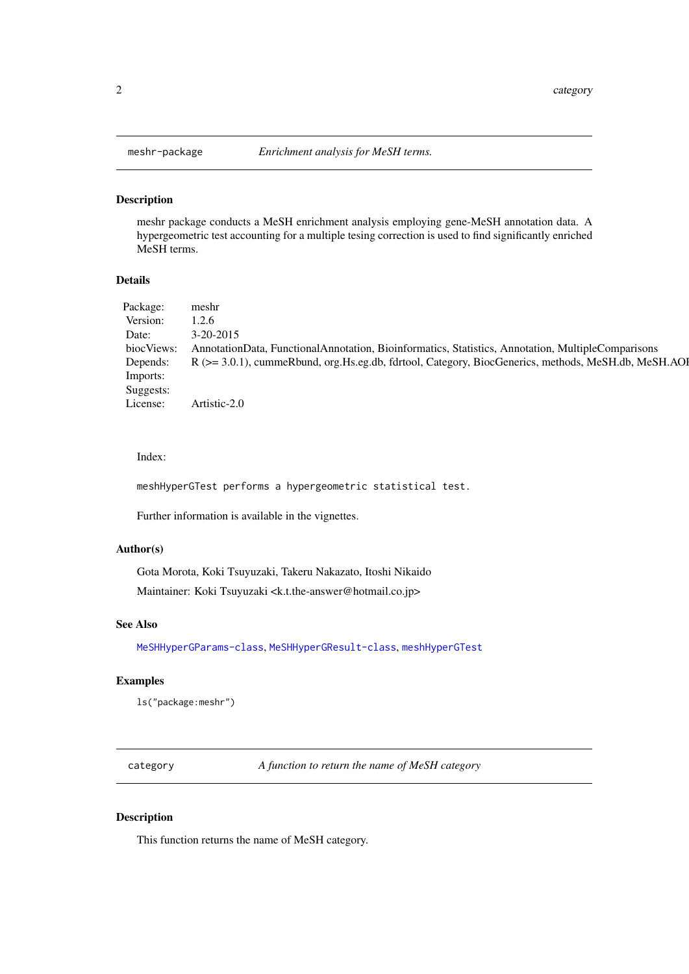# Description

meshr package conducts a MeSH enrichment analysis employing gene-MeSH annotation data. A hypergeometric test accounting for a multiple tesing correction is used to find significantly enriched MeSH terms.

## Details

| Package:   | meshr                                                                                               |  |
|------------|-----------------------------------------------------------------------------------------------------|--|
| Version:   | 1.2.6                                                                                               |  |
| Date:      | $3 - 20 - 2015$                                                                                     |  |
| biocViews: | AnnotationData, FunctionalAnnotation, Bioinformatics, Statistics, Annotation, MultipleComparisons   |  |
| Depends:   | R (>= 3.0.1), cummeRbund, org.Hs.eg.db, fdrtool, Category, BiocGenerics, methods, MeSH.db, MeSH.AOI |  |
| Imports:   |                                                                                                     |  |
| Suggests:  |                                                                                                     |  |
| License:   | Artistic-2.0                                                                                        |  |

#### Index:

meshHyperGTest performs a hypergeometric statistical test.

Further information is available in the vignettes.

## Author(s)

Gota Morota, Koki Tsuyuzaki, Takeru Nakazato, Itoshi Nikaido Maintainer: Koki Tsuyuzaki <k.t.the-answer@hotmail.co.jp>

# See Also

[MeSHHyperGParams-class](#page-4-1), [MeSHHyperGResult-class](#page-5-1), [meshHyperGTest](#page-6-1)

# Examples

ls("package:meshr")

<span id="page-1-2"></span>category *A function to return the name of MeSH category*

# Description

This function returns the name of MeSH category.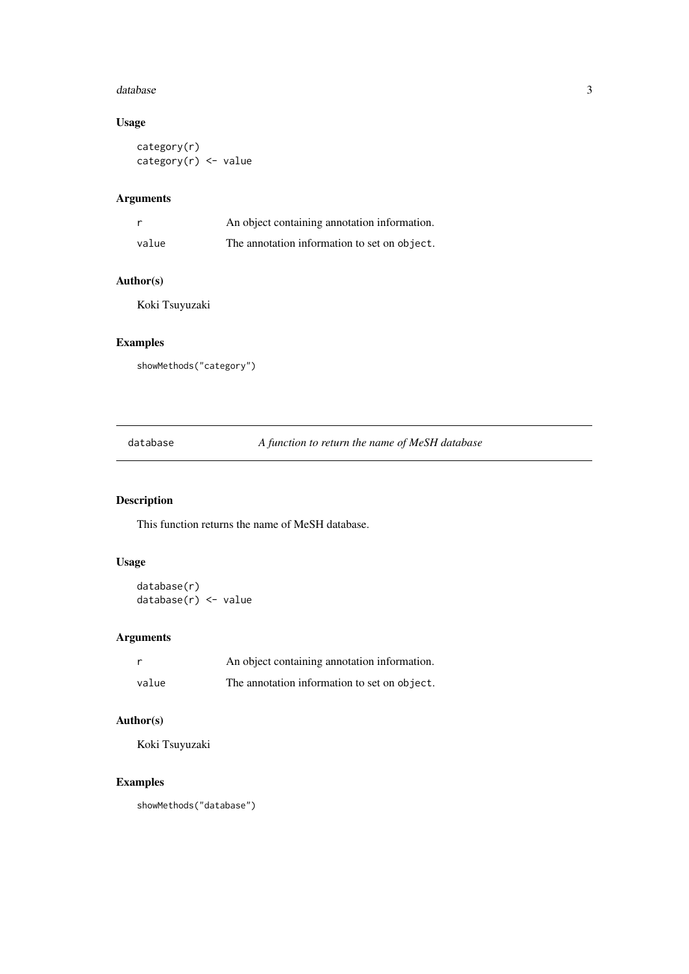#### <span id="page-2-0"></span>database 3

# Usage

```
category(r)
category(r) <- value
```
# Arguments

| - r   | An object containing annotation information. |
|-------|----------------------------------------------|
| value | The annotation information to set on object. |

# Author(s)

Koki Tsuyuzaki

# Examples

showMethods("category")

<span id="page-2-1"></span>database *A function to return the name of MeSH database*

# Description

This function returns the name of MeSH database.

# Usage

database(r) database(r) <- value

# Arguments

|       | An object containing annotation information. |
|-------|----------------------------------------------|
| value | The annotation information to set on object. |

# Author(s)

Koki Tsuyuzaki

# Examples

showMethods("database")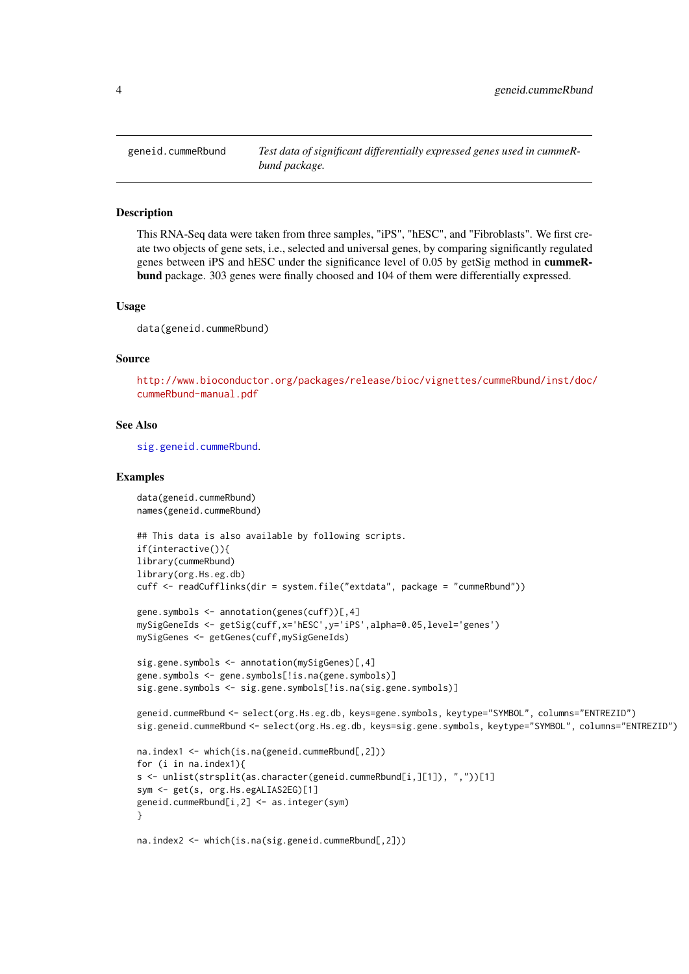<span id="page-3-1"></span><span id="page-3-0"></span>

#### Description

This RNA-Seq data were taken from three samples, "iPS", "hESC", and "Fibroblasts". We first create two objects of gene sets, i.e., selected and universal genes, by comparing significantly regulated genes between iPS and hESC under the significance level of 0.05 by getSig method in cummeRbund package. 303 genes were finally choosed and 104 of them were differentially expressed.

#### Usage

data(geneid.cummeRbund)

#### Source

[http://www.bioconductor.org/packages/release/bioc/vignettes/cummeRbund/inst/doc/](http://www.bioconductor.org/packages/release/bioc/vignettes/cummeRbund/inst/doc/cummeRbund-manual.pdf) [cummeRbund-manual.pdf](http://www.bioconductor.org/packages/release/bioc/vignettes/cummeRbund/inst/doc/cummeRbund-manual.pdf)

#### See Also

[sig.geneid.cummeRbund](#page-7-1).

#### Examples

```
data(geneid.cummeRbund)
names(geneid.cummeRbund)
```

```
## This data is also available by following scripts.
if(interactive()){
library(cummeRbund)
library(org.Hs.eg.db)
cuff <- readCufflinks(dir = system.file("extdata", package = "cummeRbund"))
```

```
gene.symbols <- annotation(genes(cuff))[,4]
mySigGeneIds <- getSig(cuff,x='hESC',y='iPS',alpha=0.05,level='genes')
mySigGenes <- getGenes(cuff,mySigGeneIds)
```

```
sig.gene.symbols <- annotation(mySigGenes)[,4]
gene.symbols <- gene.symbols[!is.na(gene.symbols)]
sig.gene.symbols <- sig.gene.symbols[!is.na(sig.gene.symbols)]
```

```
geneid.cummeRbund <- select(org.Hs.eg.db, keys=gene.symbols, keytype="SYMBOL", columns="ENTREZID")
sig.geneid.cummeRbund <- select(org.Hs.eg.db, keys=sig.gene.symbols, keytype="SYMBOL", columns="ENTREZID")
```

```
na.index1 <- which(is.na(geneid.cummeRbund[,2]))
for (i in na.index1){
s <- unlist(strsplit(as.character(geneid.cummeRbund[i,][1]), ","))[1]
sym <- get(s, org.Hs.egALIAS2EG)[1]
geneid.cummeRbund[i,2] <- as.integer(sym)
}
```
na.index2 <- which(is.na(sig.geneid.cummeRbund[,2]))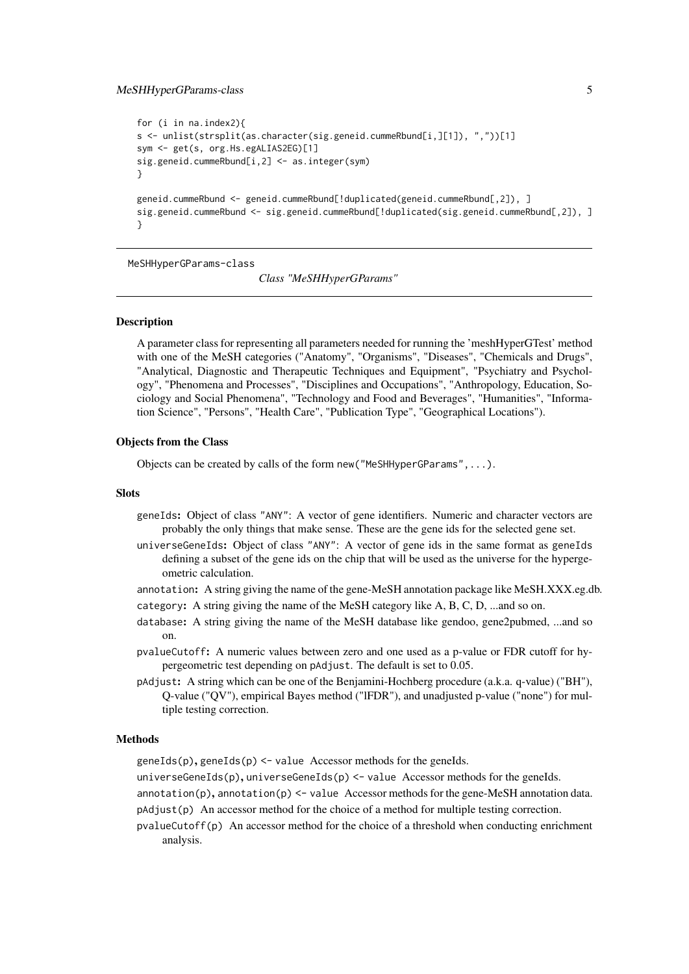#### <span id="page-4-0"></span>MeSHHyperGParams-class 5

```
for (i in na.index2){
s <- unlist(strsplit(as.character(sig.geneid.cummeRbund[i,][1]), ","))[1]
sym <- get(s, org.Hs.egALIAS2EG)[1]
sig.geneid.cummeRbund[i,2] <- as.integer(sym)
}
geneid.cummeRbund <- geneid.cummeRbund[!duplicated(geneid.cummeRbund[,2]), ]
sig.geneid.cummeRbund <- sig.geneid.cummeRbund[!duplicated(sig.geneid.cummeRbund[,2]), ]
}
```
<span id="page-4-1"></span>MeSHHyperGParams-class

*Class "MeSHHyperGParams"*

# **Description**

A parameter class for representing all parameters needed for running the 'meshHyperGTest' method with one of the MeSH categories ("Anatomy", "Organisms", "Diseases", "Chemicals and Drugs", "Analytical, Diagnostic and Therapeutic Techniques and Equipment", "Psychiatry and Psychology", "Phenomena and Processes", "Disciplines and Occupations", "Anthropology, Education, Sociology and Social Phenomena", "Technology and Food and Beverages", "Humanities", "Information Science", "Persons", "Health Care", "Publication Type", "Geographical Locations").

#### Objects from the Class

Objects can be created by calls of the form new ("MeSHHyperGParams",  $\dots$ ).

#### **Slots**

- geneIds: Object of class "ANY": A vector of gene identifiers. Numeric and character vectors are probably the only things that make sense. These are the gene ids for the selected gene set.
- universeGeneIds: Object of class "ANY": A vector of gene ids in the same format as geneIds defining a subset of the gene ids on the chip that will be used as the universe for the hypergeometric calculation.
- annotation: A string giving the name of the gene-MeSH annotation package like MeSH.XXX.eg.db. category: A string giving the name of the MeSH category like A, B, C, D, ...and so on.
- database: A string giving the name of the MeSH database like gendoo, gene2pubmed, ...and so on.
- pvalueCutoff: A numeric values between zero and one used as a p-value or FDR cutoff for hypergeometric test depending on pAdjust. The default is set to 0.05.
- pAdjust: A string which can be one of the Benjamini-Hochberg procedure (a.k.a. q-value) ("BH"), Q-value ("QV"), empirical Bayes method ("lFDR"), and unadjusted p-value ("none") for multiple testing correction.

#### Methods

 $\text{genelds}(p)$ ,  $\text{genelds}(p)$  <- value Accessor methods for the genelds.

universeGeneIds(p), universeGeneIds(p) <- value Accessor methods for the geneIds.

 $annotation(p)$ ,  $annotation(p)$  <- value Accessor methods for the gene-MeSH annotation data.

- pAdjust(p) An accessor method for the choice of a method for multiple testing correction.
- pvalueCutoff(p) An accessor method for the choice of a threshold when conducting enrichment analysis.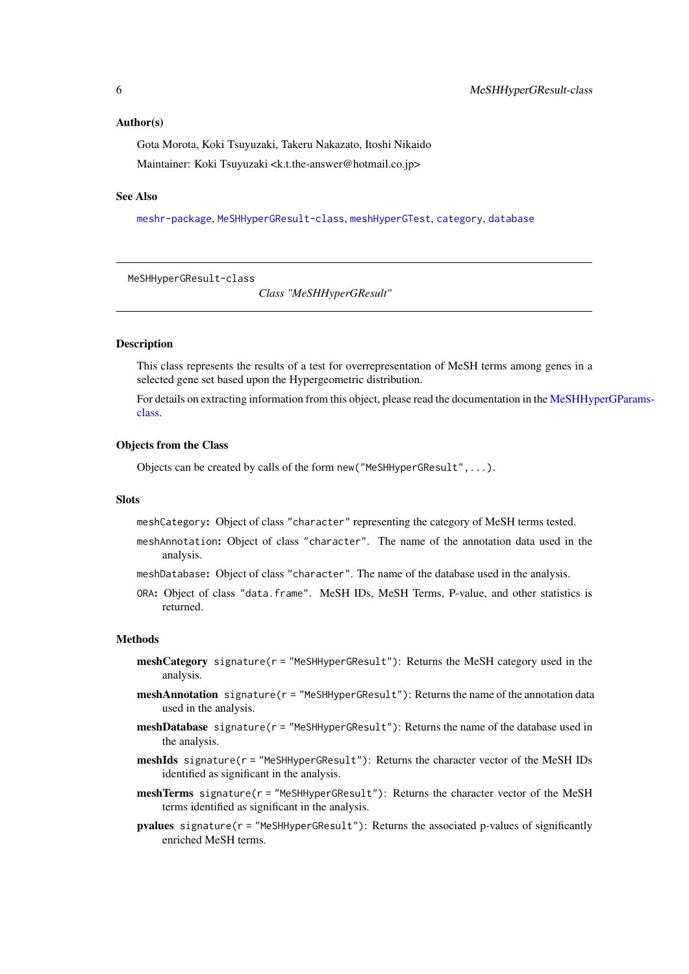## <span id="page-5-0"></span>Author(s)

Gota Morota, Koki Tsuyuzaki, Takeru Nakazato, Itoshi Nikaido Maintainer: Koki Tsuyuzaki <k.t.the-answer@hotmail.co.jp>

# See Also

[meshr-package](#page-1-1), [MeSHHyperGResult-class](#page-5-1), [meshHyperGTest](#page-6-1), [category](#page-1-2), [database](#page-2-1)

<span id="page-5-1"></span>MeSHHyperGResult-class

*Class "MeSHHyperGResult"*

#### **Description**

This class represents the results of a test for overrepresentation of MeSH terms among genes in a selected gene set based upon the Hypergeometric distribution.

For details on extracting information from this object, please read the documentation in the [MeSHHy](#page-4-1)perGParams[class.](#page-4-1)

#### Objects from the Class

Objects can be created by calls of the form new("MeSHHyperGResult",...).

## Slots

meshCategory: Object of class "character" representing the category of MeSH terms tested.

- meshAnnotation: Object of class "character". The name of the annotation data used in the analysis.
- meshDatabase: Object of class "character". The name of the database used in the analysis.
- ORA: Object of class "data.frame". MeSH IDs, MeSH Terms, P-value, and other statistics is returned.

#### Methods

- meshCategory signature(r = "MeSHHyperGResult"): Returns the MeSH category used in the analysis.
- **meshAnnotation** signature( $r =$  "MeSHHyperGResult"): Returns the name of the annotation data used in the analysis.
- **meshDatabase** signature( $r =$ "MeSHHyperGResult"): Returns the name of the database used in the analysis.
- meshIds signature(r = "MeSHHyperGResult"): Returns the character vector of the MeSH IDs identified as significant in the analysis.
- meshTerms signature( $r =$  "MeSHHyperGResult"): Returns the character vector of the MeSH terms identified as significant in the analysis.
- pvalues signature(r = "MeSHHyperGResult"): Returns the associated p-values of significantly enriched MeSH terms.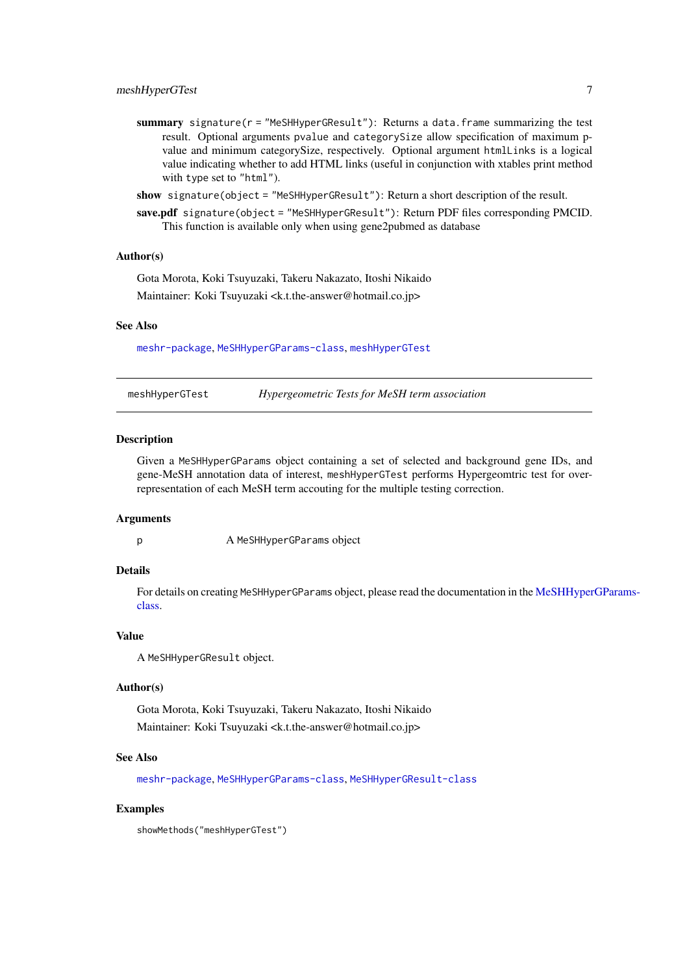- <span id="page-6-0"></span>summary signature( $r =$  "MeSHHyperGResult"): Returns a data.frame summarizing the test result. Optional arguments pvalue and categorySize allow specification of maximum pvalue and minimum categorySize, respectively. Optional argument htmlLinks is a logical value indicating whether to add HTML links (useful in conjunction with xtables print method with type set to "html").
- show signature(object = "MeSHHyperGResult"): Return a short description of the result.
- save.pdf signature(object = "MeSHHyperGResult"): Return PDF files corresponding PMCID. This function is available only when using gene2pubmed as database

#### Author(s)

Gota Morota, Koki Tsuyuzaki, Takeru Nakazato, Itoshi Nikaido Maintainer: Koki Tsuyuzaki <k.t.the-answer@hotmail.co.jp>

#### See Also

[meshr-package](#page-1-1), [MeSHHyperGParams-class](#page-4-1), [meshHyperGTest](#page-6-1)

<span id="page-6-1"></span>meshHyperGTest *Hypergeometric Tests for MeSH term association*

#### Description

Given a MeSHHyperGParams object containing a set of selected and background gene IDs, and gene-MeSH annotation data of interest, meshHyperGTest performs Hypergeomtric test for overrepresentation of each MeSH term accouting for the multiple testing correction.

#### Arguments

p A MeSHHyperGParams object

#### Details

For details on creating MeSHHyperGParams object, please read the documentation in the [MeSHHyper](#page-4-1)GParams[class.](#page-4-1)

## Value

A MeSHHyperGResult object.

#### Author(s)

Gota Morota, Koki Tsuyuzaki, Takeru Nakazato, Itoshi Nikaido

Maintainer: Koki Tsuyuzaki <k.t.the-answer@hotmail.co.jp>

# See Also

[meshr-package](#page-1-1), [MeSHHyperGParams-class](#page-4-1), [MeSHHyperGResult-class](#page-5-1)

# Examples

showMethods("meshHyperGTest")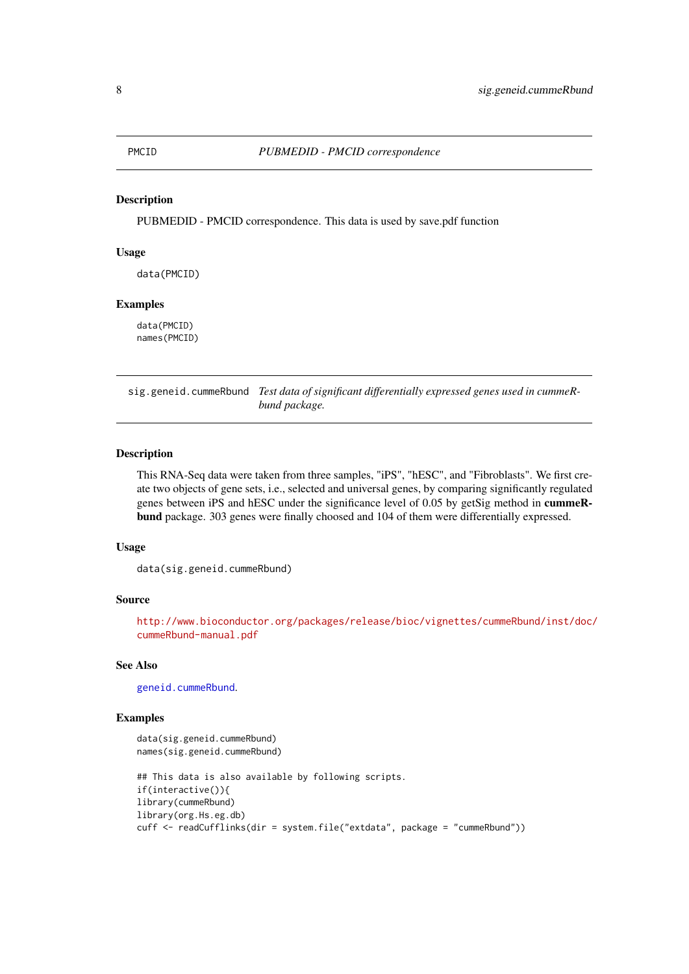<span id="page-7-0"></span>

#### Description

PUBMEDID - PMCID correspondence. This data is used by save.pdf function

## Usage

data(PMCID)

#### Examples

data(PMCID) names(PMCID)

<span id="page-7-1"></span>sig.geneid.cummeRbund *Test data of significant differentially expressed genes used in cummeRbund package.*

# Description

This RNA-Seq data were taken from three samples, "iPS", "hESC", and "Fibroblasts". We first create two objects of gene sets, i.e., selected and universal genes, by comparing significantly regulated genes between iPS and hESC under the significance level of 0.05 by getSig method in cummeRbund package. 303 genes were finally choosed and 104 of them were differentially expressed.

### Usage

data(sig.geneid.cummeRbund)

#### Source

[http://www.bioconductor.org/packages/release/bioc/vignettes/cummeRbund/inst/doc/](http://www.bioconductor.org/packages/release/bioc/vignettes/cummeRbund/inst/doc/cummeRbund-manual.pdf) [cummeRbund-manual.pdf](http://www.bioconductor.org/packages/release/bioc/vignettes/cummeRbund/inst/doc/cummeRbund-manual.pdf)

### See Also

[geneid.cummeRbund](#page-3-1).

# Examples

```
data(sig.geneid.cummeRbund)
names(sig.geneid.cummeRbund)
## This data is also available by following scripts.
if(interactive()){
library(cummeRbund)
library(org.Hs.eg.db)
cuff <- readCufflinks(dir = system.file("extdata", package = "cummeRbund"))
```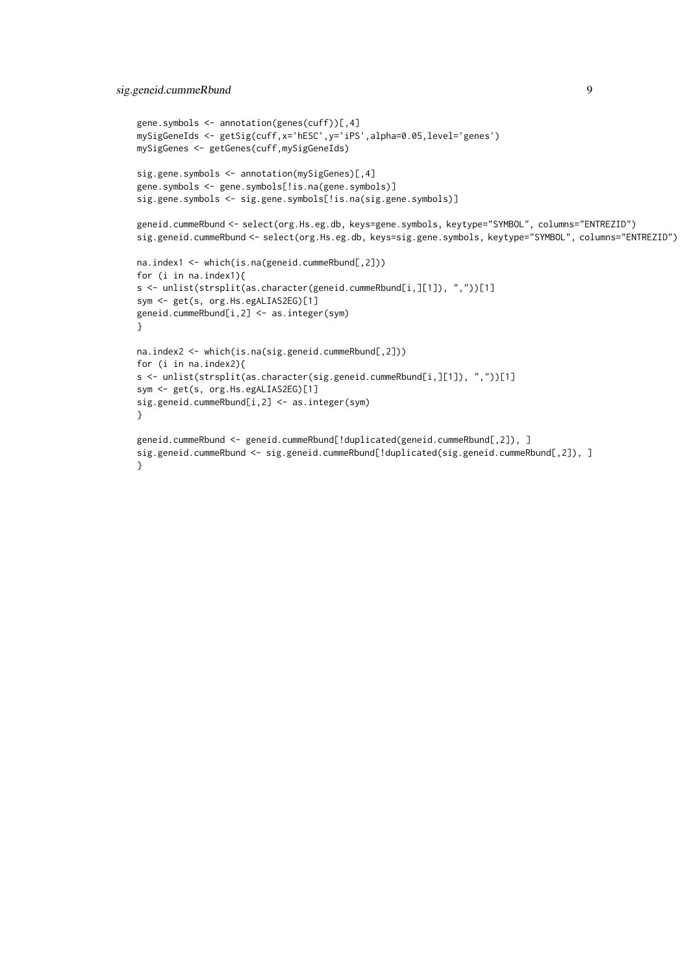```
gene.symbols <- annotation(genes(cuff))[,4]
mySigGeneIds <- getSig(cuff,x='hESC',y='iPS',alpha=0.05,level='genes')
mySigGenes <- getGenes(cuff,mySigGeneIds)
sig.gene.symbols <- annotation(mySigGenes)[,4]
gene.symbols <- gene.symbols[!is.na(gene.symbols)]
sig.gene.symbols <- sig.gene.symbols[!is.na(sig.gene.symbols)]
geneid.cummeRbund <- select(org.Hs.eg.db, keys=gene.symbols, keytype="SYMBOL", columns="ENTREZID")
sig.geneid.cummeRbund <- select(org.Hs.eg.db, keys=sig.gene.symbols, keytype="SYMBOL", columns="ENTREZID")
na.index1 <- which(is.na(geneid.cummeRbund[,2]))
for (i in na.index1){
s <- unlist(strsplit(as.character(geneid.cummeRbund[i,][1]), ","))[1]
sym <- get(s, org.Hs.egALIAS2EG)[1]
geneid.cummeRbund[i,2] <- as.integer(sym)
}
na.index2 <- which(is.na(sig.geneid.cummeRbund[,2]))
for (i in na.index2){
s <- unlist(strsplit(as.character(sig.geneid.cummeRbund[i,][1]), ","))[1]
sym <- get(s, org.Hs.egALIAS2EG)[1]
sig.geneid.cummeRbund[i,2] <- as.integer(sym)
}
geneid.cummeRbund <- geneid.cummeRbund[!duplicated(geneid.cummeRbund[,2]), ]
sig.geneid.cummeRbund <- sig.geneid.cummeRbund[!duplicated(sig.geneid.cummeRbund[,2]), ]
}
```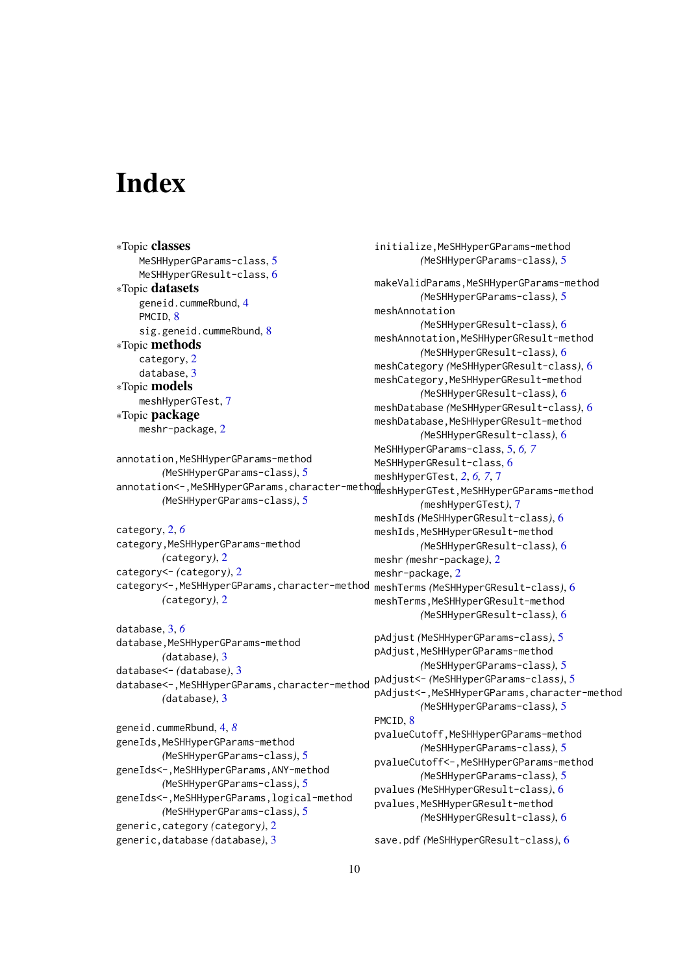# <span id="page-9-0"></span>Index

∗Topic classes MeSHHyperGParams-class, [5](#page-4-0) MeSHHyperGResult-class, [6](#page-5-0) ∗Topic datasets geneid.cummeRbund, [4](#page-3-0) PMC<sub>ID</sub> [8](#page-7-0) sig.geneid.cummeRbund, [8](#page-7-0) ∗Topic methods category, [2](#page-1-0) database, [3](#page-2-0) ∗Topic models meshHyperGTest, [7](#page-6-0) ∗Topic package meshr-package, [2](#page-1-0) annotation, MeSHHyperGParams-method *(*MeSHHyperGParams-class*)*, [5](#page-4-0) annotation<-, MeSHHyperGParams, character-methodeshHyperGTest, MeSHHyperGParams-method *(*MeSHHyperGParams-class*)*, [5](#page-4-0) category, [2,](#page-1-0) *[6](#page-5-0)* category,MeSHHyperGParams-method *(*category*)*, [2](#page-1-0) category<- *(*category*)*, [2](#page-1-0) category<-,MeSHHyperGParams,character-method meshTerms *(*MeSHHyperGResult-class*)*, [6](#page-5-0) *(*category*)*, [2](#page-1-0) database, [3,](#page-2-0) *[6](#page-5-0)* database, MeSHHyperGParams-method *(*database*)*, [3](#page-2-0) database<- *(*database*)*, [3](#page-2-0)

*(*database*)*, [3](#page-2-0) geneid.cummeRbund, [4,](#page-3-0) *[8](#page-7-0)* geneIds,MeSHHyperGParams-method *(*MeSHHyperGParams-class*)*, [5](#page-4-0) geneIds<-,MeSHHyperGParams,ANY-method *(*MeSHHyperGParams-class*)*, [5](#page-4-0) geneIds<-,MeSHHyperGParams,logical-method *(*MeSHHyperGParams-class*)*, [5](#page-4-0) generic,category *(*category*)*, [2](#page-1-0) generic,database *(*database*)*, [3](#page-2-0)

```
database<-,MeSHHyperGParams,character-method
                                               initialize,MeSHHyperGParams-method
                                                       (MeSHHyperGParams-class), 5
                                               makeValidParams,MeSHHyperGParams-method
                                                       (MeSHHyperGParams-class), 5
                                               meshAnnotation
                                                       (MeSHHyperGResult-class), 6
                                               meshAnnotation,MeSHHyperGResult-method
                                                       (MeSHHyperGResult-class), 6
                                               meshCategory (MeSHHyperGResult-class), 6
                                               meshCategory,MeSHHyperGResult-method
                                                       (MeSHHyperGResult-class), 6
                                               meshDatabase (MeSHHyperGResult-class), 6
                                               meshDatabase,MeSHHyperGResult-method
                                                       (MeSHHyperGResult-class), 6
                                               MeSHHyperGParams-class, 5, 6, 7
                                               MeSHHyperGResult-class, 6
                                               meshHyperGTest, 2, 6, 7, 7
                                                       (meshHyperGTest), 7
                                               meshIds (MeSHHyperGResult-class), 6
                                               meshIds, MeSHHyperGResult-method
                                                       (MeSHHyperGResult-class), 6
                                               meshr (meshr-package), 2
                                               meshr-package, 2
                                               meshTerms.MeSHHyperGResult-method
                                                       (MeSHHyperGResult-class), 6
                                               pAdjust (MeSHHyperGParams-class), 5
                                               pAdjust, MeSHHyperGParams-method
                                                       (MeSHHyperGParams-class), 5
                                               pAdjust<- (MeSHHyperGParams-class), 5
                                               pAdjust<-,MeSHHyperGParams,character-method
                                                       (MeSHHyperGParams-class), 5
                                               PMCID, 8
                                               pvalueCutoff,MeSHHyperGParams-method
                                                       (MeSHHyperGParams-class), 5
                                               pvalueCutoff<-,MeSHHyperGParams-method
                                                       (MeSHHyperGParams-class), 5
                                               pvalues (MeSHHyperGResult-class), 6
                                               pvalues,MeSHHyperGResult-method
                                                       (MeSHHyperGResult-class), 6
```
save.pdf *(*MeSHHyperGResult-class*)*, [6](#page-5-0)